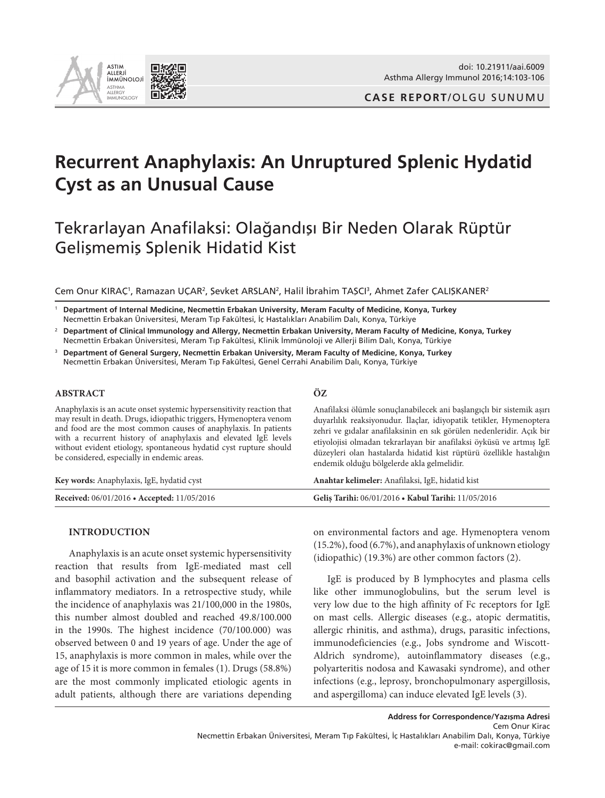

# **Recurrent Anaphylaxis: An Unruptured Splenic Hydatid Cyst as an Unusual Cause**

## Tekrarlayan Anafilaksi: Olağandışı Bir Neden Olarak Rüptür Gelişmemiş Splenik Hidatid Kist

Cem Onur KIRAÇ', Ramazan UÇAR?, Şevket ARSLAN?, Halil Ibrahim TAŞCI<sup>3</sup>, Ahmet Zafer ÇALIŞKANER<sup>2</sup>

<sup>1</sup> **Department of Internal Medicine, Necmettin Erbakan University, Meram Faculty of Medicine, Konya, Turkey** Necmettin Erbakan Üniversitesi, Meram Tıp Fakültesi, İç Hastalıkları Anabilim Dalı, Konya, Türkiye

<sup>2</sup> **Department of Clinical Immunology and Allergy, Necmettin Erbakan University, Meram Faculty of Medicine, Konya, Turkey**  Necmettin Erbakan Üniversitesi, Meram Tıp Fakültesi, Klinik İmmünoloji ve Allerji Bilim Dalı, Konya, Türkiye

<sup>3</sup> **Department of General Surgery, Necmettin Erbakan University, Meram Faculty of Medicine, Konya, Turkey**  Necmettin Erbakan Üniversitesi, Meram Tıp Fakültesi, Genel Cerrahi Anabilim Dalı, Konya, Türkiye

#### **ABSTRACT**

Anaphylaxis is an acute onset systemic hypersensitivity reaction that may result in death. Drugs, idiopathic triggers, Hymenoptera venom and food are the most common causes of anaphylaxis. In patients with a recurrent history of anaphylaxis and elevated IgE levels without evident etiology, spontaneous hydatid cyst rupture should be considered, especially in endemic areas.

## **ÖZ**

Anafilaksi ölümle sonuçlanabilecek ani başlangıçlı bir sistemik aşırı duyarlılık reaksiyonudur. İlaçlar, idiyopatik tetikler, Hymenoptera zehri ve gıdalar anafilaksinin en sık görülen nedenleridir. Açık bir etiyolojisi olmadan tekrarlayan bir anafilaksi öyküsü ve artmış IgE düzeyleri olan hastalarda hidatid kist rüptürü özellikle hastalığın endemik olduğu bölgelerde akla gelmelidir.

| Key words: Anaphylaxis, IgE, hydatid cyst   | Anahtar kelimeler: Anafilaksi, IgE, hidatid kist    |
|---------------------------------------------|-----------------------------------------------------|
| Received: 06/01/2016 • Accepted: 11/05/2016 | Geliş Tarihi: 06/01/2016 • Kabul Tarihi: 11/05/2016 |

#### **Introduction**

Anaphylaxis is an acute onset systemic hypersensitivity reaction that results from IgE-mediated mast cell and basophil activation and the subsequent release of inflammatory mediators. In a retrospective study, while the incidence of anaphylaxis was 21/100,000 in the 1980s, this number almost doubled and reached 49.8/100.000 in the 1990s. The highest incidence (70/100.000) was observed between 0 and 19 years of age. Under the age of 15, anaphylaxis is more common in males, while over the age of 15 it is more common in females (1). Drugs (58.8%) are the most commonly implicated etiologic agents in adult patients, although there are variations depending

on environmental factors and age. Hymenoptera venom (15.2%), food (6.7%), and anaphylaxis of unknown etiology (idiopathic) (19.3%) are other common factors (2).

IgE is produced by B lymphocytes and plasma cells like other immunoglobulins, but the serum level is very low due to the high affinity of Fc receptors for IgE on mast cells. Allergic diseases (e.g., atopic dermatitis, allergic rhinitis, and asthma), drugs, parasitic infections, immunodeficiencies (e.g., Jobs syndrome and Wiscott-Aldrich syndrome), autoinflammatory diseases (e.g., polyarteritis nodosa and Kawasaki syndrome), and other infections (e.g., leprosy, bronchopulmonary aspergillosis, and aspergilloma) can induce elevated IgE levels (3).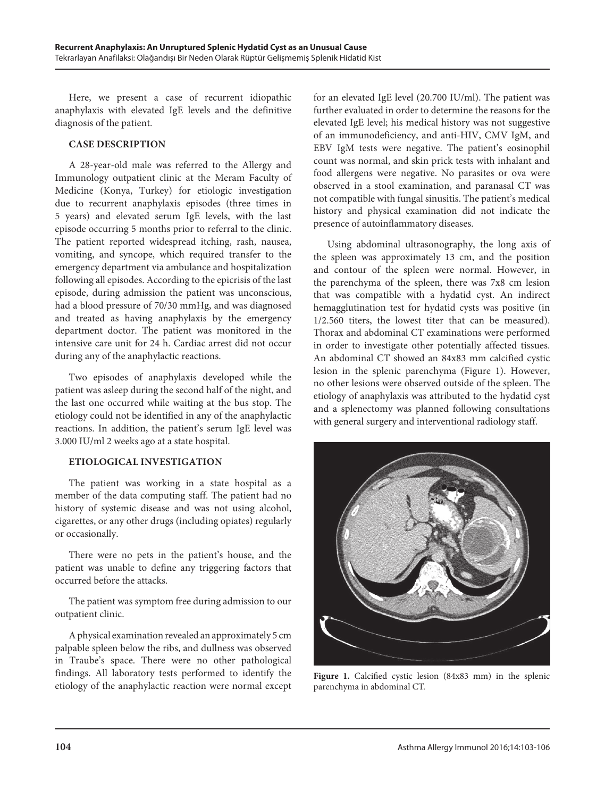Here, we present a case of recurrent idiopathic anaphylaxis with elevated IgE levels and the definitive diagnosis of the patient.

#### **Case Description**

A 28-year-old male was referred to the Allergy and Immunology outpatient clinic at the Meram Faculty of Medicine (Konya, Turkey) for etiologic investigation due to recurrent anaphylaxis episodes (three times in 5 years) and elevated serum IgE levels, with the last episode occurring 5 months prior to referral to the clinic. The patient reported widespread itching, rash, nausea, vomiting, and syncope, which required transfer to the emergency department via ambulance and hospitalization following all episodes. According to the epicrisis of the last episode, during admission the patient was unconscious, had a blood pressure of 70/30 mmHg, and was diagnosed and treated as having anaphylaxis by the emergency department doctor. The patient was monitored in the intensive care unit for 24 h. Cardiac arrest did not occur during any of the anaphylactic reactions.

Two episodes of anaphylaxis developed while the patient was asleep during the second half of the night, and the last one occurred while waiting at the bus stop. The etiology could not be identified in any of the anaphylactic reactions. In addition, the patient's serum IgE level was 3.000 IU/ml 2 weeks ago at a state hospital.

## **Etiological investigation**

The patient was working in a state hospital as a member of the data computing staff. The patient had no history of systemic disease and was not using alcohol, cigarettes, or any other drugs (including opiates) regularly or occasionally.

There were no pets in the patient's house, and the patient was unable to define any triggering factors that occurred before the attacks.

The patient was symptom free during admission to our outpatient clinic.

A physical examination revealed an approximately 5 cm palpable spleen below the ribs, and dullness was observed in Traube's space. There were no other pathological findings. All laboratory tests performed to identify the etiology of the anaphylactic reaction were normal except for an elevated IgE level (20.700 IU/ml). The patient was further evaluated in order to determine the reasons for the elevated IgE level; his medical history was not suggestive of an immunodeficiency, and anti-HIV, CMV IgM, and EBV IgM tests were negative. The patient's eosinophil count was normal, and skin prick tests with inhalant and food allergens were negative. No parasites or ova were observed in a stool examination, and paranasal CT was not compatible with fungal sinusitis. The patient's medical history and physical examination did not indicate the presence of autoinflammatory diseases.

Using abdominal ultrasonography, the long axis of the spleen was approximately 13 cm, and the position and contour of the spleen were normal. However, in the parenchyma of the spleen, there was 7x8 cm lesion that was compatible with a hydatid cyst. An indirect hemagglutination test for hydatid cysts was positive (in 1/2.560 titers, the lowest titer that can be measured). Thorax and abdominal CT examinations were performed in order to investigate other potentially affected tissues. An abdominal CT showed an 84x83 mm calcified cystic lesion in the splenic parenchyma (Figure 1). However, no other lesions were observed outside of the spleen. The etiology of anaphylaxis was attributed to the hydatid cyst and a splenectomy was planned following consultations with general surgery and interventional radiology staff.



**Figure 1.** Calcified cystic lesion (84x83 mm) in the splenic parenchyma in abdominal CT.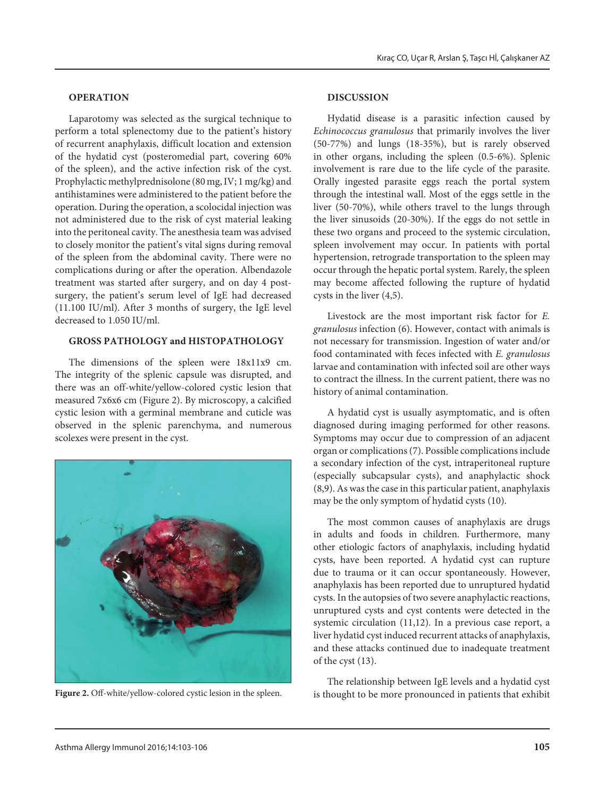## **Operation**

Laparotomy was selected as the surgical technique to perform a total splenectomy due to the patient's history of recurrent anaphylaxis, difficult location and extension of the hydatid cyst (posteromedial part, covering 60% of the spleen), and the active infection risk of the cyst. Prophylactic methylprednisolone (80 mg, IV; 1 mg/kg) and antihistamines were administered to the patient before the operation. During the operation, a scolocidal injection was not administered due to the risk of cyst material leaking into the peritoneal cavity. The anesthesia team was advised to closely monitor the patient's vital signs during removal of the spleen from the abdominal cavity. There were no complications during or after the operation. Albendazole treatment was started after surgery, and on day 4 postsurgery, the patient's serum level of IgE had decreased (11.100 IU/ml). After 3 months of surgery, the IgE level decreased to 1.050 IU/ml.

## **Gross pathology and histopathology**

The dimensions of the spleen were 18x11x9 cm. The integrity of the splenic capsule was disrupted, and there was an off-white/yellow-colored cystic lesion that measured 7x6x6 cm (Figure 2). By microscopy, a calcified cystic lesion with a germinal membrane and cuticle was observed in the splenic parenchyma, and numerous scolexes were present in the cyst.



#### **Discussion**

Hydatid disease is a parasitic infection caused by *Echinococcus granulosus* that primarily involves the liver (50-77%) and lungs (18-35%), but is rarely observed in other organs, including the spleen (0.5-6%). Splenic involvement is rare due to the life cycle of the parasite. Orally ingested parasite eggs reach the portal system through the intestinal wall. Most of the eggs settle in the liver (50-70%), while others travel to the lungs through the liver sinusoids (20-30%). If the eggs do not settle in these two organs and proceed to the systemic circulation, spleen involvement may occur. In patients with portal hypertension, retrograde transportation to the spleen may occur through the hepatic portal system. Rarely, the spleen may become affected following the rupture of hydatid cysts in the liver (4,5).

Livestock are the most important risk factor for *E. granulosus* infection (6). However, contact with animals is not necessary for transmission. Ingestion of water and/or food contaminated with feces infected with *E. granulosus* larvae and contamination with infected soil are other ways to contract the illness. In the current patient, there was no history of animal contamination.

A hydatid cyst is usually asymptomatic, and is often diagnosed during imaging performed for other reasons. Symptoms may occur due to compression of an adjacent organ or complications (7). Possible complications include a secondary infection of the cyst, intraperitoneal rupture (especially subcapsular cysts), and anaphylactic shock (8,9). As was the case in this particular patient, anaphylaxis may be the only symptom of hydatid cysts (10).

The most common causes of anaphylaxis are drugs in adults and foods in children. Furthermore, many other etiologic factors of anaphylaxis, including hydatid cysts, have been reported. A hydatid cyst can rupture due to trauma or it can occur spontaneously. However, anaphylaxis has been reported due to unruptured hydatid cysts. In the autopsies of two severe anaphylactic reactions, unruptured cysts and cyst contents were detected in the systemic circulation (11,12). In a previous case report, a liver hydatid cyst induced recurrent attacks of anaphylaxis, and these attacks continued due to inadequate treatment of the cyst (13).

The relationship between IgE levels and a hydatid cyst Figure 2. Off-white/yellow-colored cystic lesion in the spleen. is thought to be more pronounced in patients that exhibit